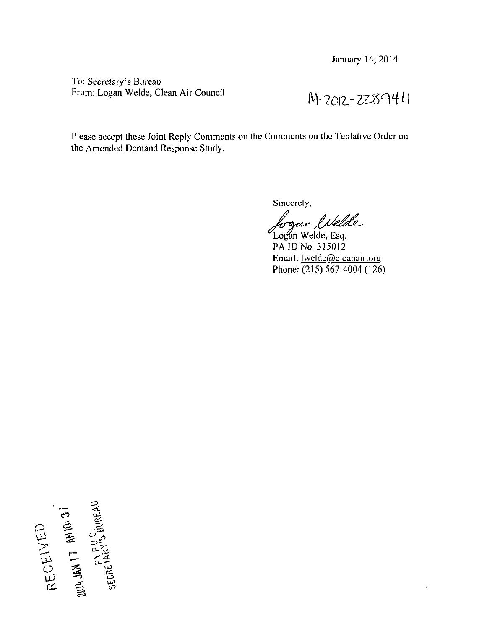To: Secretary's Bureau *From: Logan Welde, Clean Air Council*  $M - 2012 - 2289411$ 

Please accept these Joint Reply Comments on the Comments on the Tentative Order on the Amended Demand Response Study.

Sincerely,

bogan likelde Logan Welde, Esq.

PA ID No. 315012 Email: **Iwelde@eleanair.org** Phone: (215) 567-4004 (126)

**a © .s**   $\alpha$   $\equiv$   $\alpha$ **O. 喜 邕**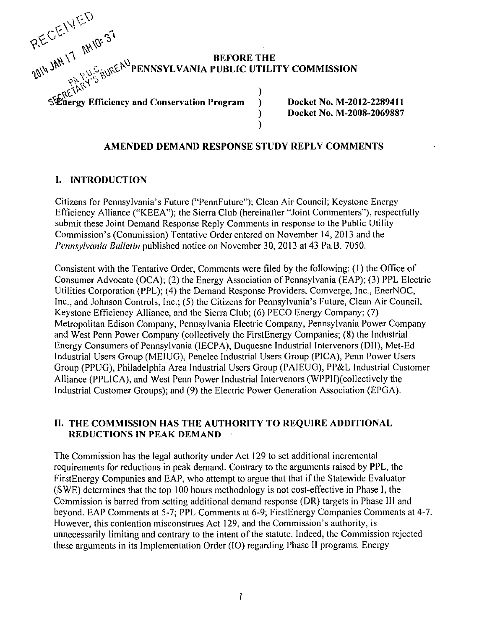

**Example of Efficiency and Conservation Program (1)** Docket No. M-2012-2289711 **Docket No. M-2002-248947 ) Docket No. M-2008-2069887** 

## **AMENDED DEMAND RESPONSE STUDY REPLY COMMENTS**

## **I. INTRODUCTION**

Citizens for Pennsylvania's Future ("PennFuture"); Clean Air Council; Keystone Energy Efficiency Alliance ("KEEA"); the Sierra Club (hereinafter "Joint Commenters"), respectfully submit these Joint Demand Response Reply Comments in response to the Public Utility Commission's (Commission) Tentative Order entered on November 14, 2013 and the Pennsylvania Bulletin published notice on November 30, 2013 at 43 Pa.B. 7050.

Consistent with the Tentative Order, Comments were filed by the following: (1) the Office of Consumer Advocate (OCA); (2) the Energy Association of Pennsylvania (EAP); (3) PPL Electric Utilities Corporation (PPL); (4) the Demand Response Providers, Comverge, Inc., EnerNOC, Inc., and Johnson Controls, Inc.; (5) the Citizens for Pennsylvania's Future, Clean Air Council, Keystone Efficiency Alliance, and the Sierra Club; (6) PECO Energy Company; (7) Metropolitan Edison Company, Pennsylvania Electric Company, Pennsylvania Power Company and West Penn Power Company (collectively the FirstEnergy Companies; (8) the Industrial Energy Consumers of Pennsylvania (IECPA), Duquesne Industrial Intervenors (DII), Met-Ed Industrial Users Group (MEIUG), Penelec Industrial Users Group (PICA), Penn Power Users Group (PPUG), Philadelphia Area Industrial Users Group (PAIEUG), PP&L Industrial Customer Alliance (PPLICA), and West Penn Power Industrial Intervenors (WPPII)(collectively the Industrial Customer Groups); and (9) the Electric Power Generation Association (EPGA).

## **II. THE COMMISSION HAS THE AUTHORITY TO REQUIRE ADDITIONAL REDUCTIONS IN PEAK DEMAND**

The Commission has the legal authority under Act 129 to set additional incremental requirements for reductions in peak demand. Contrary to the arguments raised by PPL, the FirstEnergy Companies and EAP, who attempt to argue that that if the Statewide Evaluator (SWE) determines that the top 100 hours methodology is not cost-effective in Phase I, the Commission is barred from setting additional demand response (DR) targets in Phase III and beyond. EAP Comments at 5-7; PPL Comments at 6-9; FirstEnergy Companies Comments at 4-7. However, this contention misconstrues Act 129, and the Commission's authority, is unnecessarily limiting and contrary to the intent of the statute. Indeed, the Commission rejected these arguments in its Implementation Order (IO) regarding Phase II programs. Energy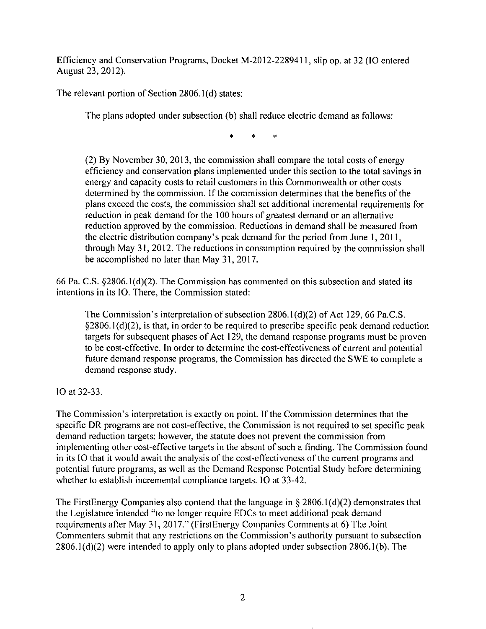Efficiency and Conservation Programs, Docket M-2012-2289411, slip op. at 32 (IO entered August 23,2012).

The relevant portion of Section 2806.1(d) states:

The plans adopted under subsection (b) shall reduce electric demand as follows:

sk.

(2) By November 30, 2013, the commission shall compare the total costs of energy efficiency and conservation plans implemented under this section to the total savings in energy and capacity costs to retail customers in this Commonwealth or other costs determined by the commission. If the commission determines that the benefits of the plans exceed the costs, the commission shall set additional incremental requirements for reduction in peak demand for the 100 hours of greatest demand or an alternative reduction approved by the commission. Reductions in demand shall be measured from the electric distribution company's peak demand for the period from June 1, 2011, through May 31, 2012. The reductions in consumption required by the commission shall be accomplished no later than May 31, 2017.

66 Pa. C.S. §2806.1(d)(2). The Commission has commented on this subsection and stated its intentions in its IO. There, the Commission stated:

The Commission's interpretation of subsection  $2806.1(d)(2)$  of Act 129, 66 Pa.C.S.  $§2806.1(d)(2)$ , is that, in order to be required to prescribe specific peak demand reduction targets for subsequent phases of Act 129, the demand response programs must be proven to be cost-effective. In order to determine the cost-effectiveness of current and potential future demand response programs, the Commission has directed the SWE to complete a demand response study.

IO at 32-33.

The Commission's interpretation is exactly on poinl. If the Commission determines that the specific DR programs are not cost-effective, the Commission is not required to set specific peak demand reduction targets; however, the statute does not prevent the commission from implementing other cost-effective targets in the absent of such a finding. The Commission found in its IO that it would await the analysis of the cost-effectiveness of the current programs and potential future programs, as well as the Demand Response Potential Study before determining whether to establish incremental compliance targets. IO at 33-42.

The FirstEnergy Companies also contend that the language in  $\S 2806.1(d)(2)$  demonstrates that the Legislature intended "to no longer require EDCs lo meet additional peak demand requirements after May 31, 2017." (FirstEnergy Companies Comments at 6) The Joint Commenters submit that any restrictions on the Commission's authority pursuant to subsection 2806.1(d)(2) were intended to apply only to plans adopted under subsection 2806.1(b). The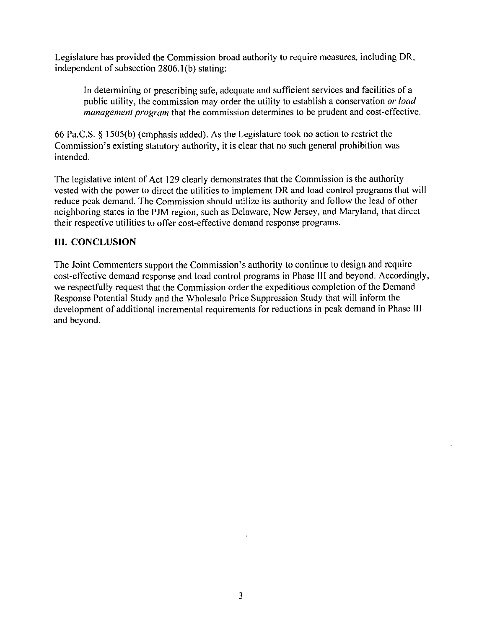Legislature has provided the Commission broad authority to require measures, including DR, independent of subsection 2806.1(b) stating:

In determining or prescribing safe, adequate and sufficient services and facilities of a public utility, the commission may order the utility to establish a conservation or load management program that the commission determines to be prudent and cost-effective.

66 Pa.C.S. § 1505(b) (emphasis added). As the Legislature took no action to restrict the Commission's existing statutory authority, it is clear that no such general prohibition was intended.

The legislative intent of Act 129 clearly demonstrates that the Commission is the authority vested with the power to direct the utilities to implement DR and load control programs that will reduce peak demand. The Commission should utilize its authority and follow the lead of other neighboring states in the PJM region, such as Delaware, New Jersey, and Maryland, that direct their respective utilities to offer cost-effective demand response programs.

## **III. CONCLUSION**

The Joint Commenters support the Commission's authority to continue to design and require cost-effective demand response and load control programs in Phase III and beyond. Accordingly, we respectfully request that the Commission order the expeditious completion of the Demand Response Potential Study and the Wholesale Price Suppression Study that will inform the development of additional incremental requirements for reductions in peak demand in Phase III and beyond.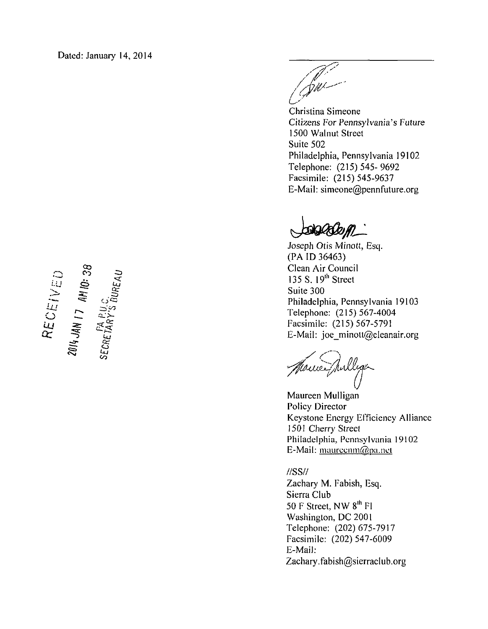$\frac{135 \text{ S}}{411 \text{ A}}$  is  $\frac{135 \text{ S}}{41}$ .  $\frac{135 \text{ S}}{41}$ .  $\frac{135 \text{ S}}{41}$ .  $\frac{135 \text{ S}}{41}$ .  $\frac{135 \text{ S}}{41}$ .  $\frac{135 \text{ S}}{41}$ .  $\frac{135 \text{ S}}{41}$ .  $\frac{135 \text{ S}}{41}$ .  $\frac{135 \text{ S}}{41}$ .  $\frac{135 \text{ S}}{41}$ .  $\frac{1$  $\sum \equiv$   $\equiv$   $\equiv$   $\equiv$  $\frac{1}{2}$ ,  $\frac{1}{2}$ 

(Sm

Christina Simeone Citizens For Pennsylvania's Future 1500 Walnut Street Suite 502 Philadelphia, Pennsylvania 19102 Telephone: (215) 545-9692 Facsimile: (215) 545-9637 E-Mail: simeone@pennfuture.org

SOCCOM

Joseph Otis Minott, Esq. (PA ID 36463)  $\sim$   $\frac{\infty}{\infty}$   $\sim$  Clean Air Council Philadelphia, Pennsylvania 19103 Telephone: (215) 567-4004 Facsimile: (215) 567-5791 E-Mail: joe minott@cleanair.org

**85 B**  $\frac{1}{2}$ 

Maureen Mulligan Policy Director Keystone Energy Efficiency Alliance 1501 Cherry Street Philadelphia, Pennsylvania 19102 E-Mail: maureenm@pa.nel

//SS// Zachary M. Fabish, Esq. Sierra Club

50 F Street, NW  $8^{\text{th}}$  Fl Washington, DC 2001 Telephone: (202) 675-7917 Facsimile: (202)547-6009 E-Mail: Zachary.fabish@sierraclub.org